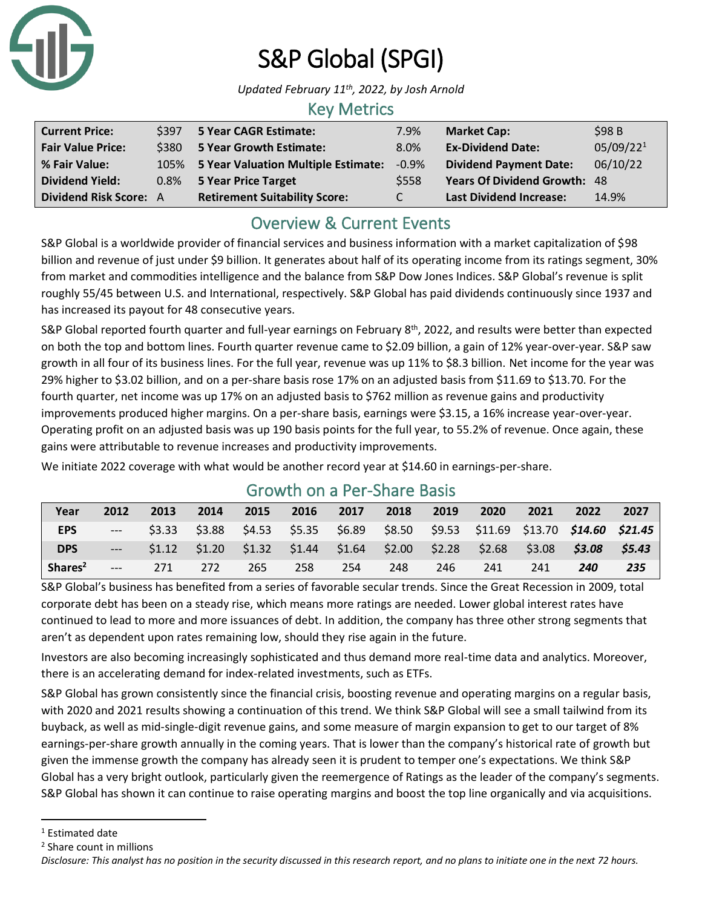

# S&P Global (SPGI)

*Updated February 11th, 2022, by Josh Arnold*

### Key Metrics

| <b>Current Price:</b>         | \$397 5 Year CAGR Estimate:              | 7.9%     | <b>Market Cap:</b>                  | \$98B                 |
|-------------------------------|------------------------------------------|----------|-------------------------------------|-----------------------|
| <b>Fair Value Price:</b>      | \$380 5 Year Growth Estimate:            | 8.0%     | <b>Ex-Dividend Date:</b>            | 05/09/22 <sup>1</sup> |
| % Fair Value:                 | 105% 5 Year Valuation Multiple Estimate: | $-0.9\%$ | <b>Dividend Payment Date:</b>       | 06/10/22              |
| <b>Dividend Yield:</b>        | 0.8% 5 Year Price Target                 | \$558    | <b>Years Of Dividend Growth: 48</b> |                       |
| <b>Dividend Risk Score: A</b> | <b>Retirement Suitability Score:</b>     | C        | <b>Last Dividend Increase:</b>      | 14.9%                 |

## Overview & Current Events

S&P Global is a worldwide provider of financial services and business information with a market capitalization of \$98 billion and revenue of just under \$9 billion. It generates about half of its operating income from its ratings segment, 30% from market and commodities intelligence and the balance from S&P Dow Jones Indices. S&P Global's revenue is split roughly 55/45 between U.S. and International, respectively. S&P Global has paid dividends continuously since 1937 and has increased its payout for 48 consecutive years.

S&P Global reported fourth quarter and full-year earnings on February 8<sup>th</sup>, 2022, and results were better than expected on both the top and bottom lines. Fourth quarter revenue came to \$2.09 billion, a gain of 12% year-over-year. S&P saw growth in all four of its business lines. For the full year, revenue was up 11% to \$8.3 billion. Net income for the year was 29% higher to \$3.02 billion, and on a per-share basis rose 17% on an adjusted basis from \$11.69 to \$13.70. For the fourth quarter, net income was up 17% on an adjusted basis to \$762 million as revenue gains and productivity improvements produced higher margins. On a per-share basis, earnings were \$3.15, a 16% increase year-over-year. Operating profit on an adjusted basis was up 190 basis points for the full year, to 55.2% of revenue. Once again, these gains were attributable to revenue increases and productivity improvements.

We initiate 2022 coverage with what would be another record year at \$14.60 in earnings-per-share.

| Year                | 2012  | 2013 | 2014 | 2015 | 2016 | 2017 | 2018 | 2019 | 2020                                                                                    | 2021 | 2022 | 2027   |
|---------------------|-------|------|------|------|------|------|------|------|-----------------------------------------------------------------------------------------|------|------|--------|
| <b>EPS</b>          | $---$ |      |      |      |      |      |      |      | \$3.33 \$3.88 \$4.53 \$5.35 \$6.89 \$8.50 \$9.53 \$11.69 \$13.70 <b>\$14.60 \$21.45</b> |      |      |        |
| <b>DPS</b>          | $---$ |      |      |      |      |      |      |      | $$1.12$ $$1.20$ $$1.32$ $$1.44$ $$1.64$ $$2.00$ $$2.28$ $$2.68$ $$3.08$ $$3.08$         |      |      | \$5.43 |
| Shares <sup>2</sup> | $---$ | 271  | 272  | 265  | 258  | 254  | 248  | 246  | 241                                                                                     | 241  | 240  | 235    |

## Growth on a Per-Share Basis

S&P Global's business has benefited from a series of favorable secular trends. Since the Great Recession in 2009, total corporate debt has been on a steady rise, which means more ratings are needed. Lower global interest rates have continued to lead to more and more issuances of debt. In addition, the company has three other strong segments that aren't as dependent upon rates remaining low, should they rise again in the future.

Investors are also becoming increasingly sophisticated and thus demand more real-time data and analytics. Moreover, there is an accelerating demand for index-related investments, such as ETFs.

S&P Global has grown consistently since the financial crisis, boosting revenue and operating margins on a regular basis, with 2020 and 2021 results showing a continuation of this trend. We think S&P Global will see a small tailwind from its buyback, as well as mid-single-digit revenue gains, and some measure of margin expansion to get to our target of 8% earnings-per-share growth annually in the coming years. That is lower than the company's historical rate of growth but given the immense growth the company has already seen it is prudent to temper one's expectations. We think S&P Global has a very bright outlook, particularly given the reemergence of Ratings as the leader of the company's segments. S&P Global has shown it can continue to raise operating margins and boost the top line organically and via acquisitions.

<sup>&</sup>lt;sup>1</sup> Estimated date

<sup>2</sup> Share count in millions

*Disclosure: This analyst has no position in the security discussed in this research report, and no plans to initiate one in the next 72 hours.*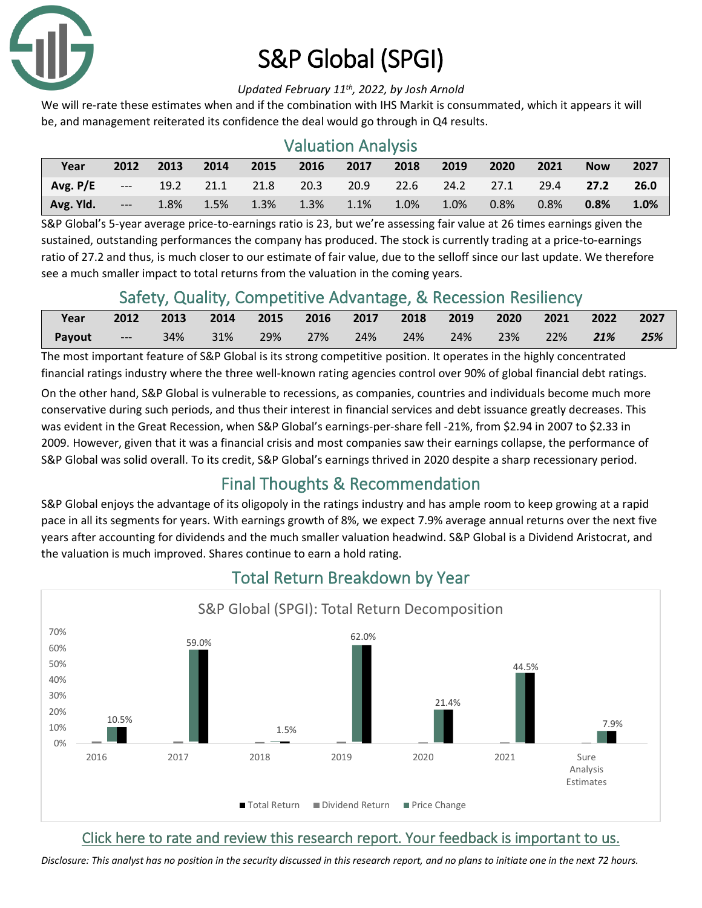

# S&P Global (SPGI)

#### *Updated February 11th, 2022, by Josh Arnold*

We will re-rate these estimates when and if the combination with IHS Markit is consummated, which it appears it will be, and management reiterated its confidence the deal would go through in Q4 results.

## Valuation Analysis

| Year                                                                              | 2012 | 2013 | 2014 | 2015 | 2016 2017 2018 2019                |  | $\sim$ 2020 | 2021 | <b>Now</b> | 2027    |
|-----------------------------------------------------------------------------------|------|------|------|------|------------------------------------|--|-------------|------|------------|---------|
| <b>Avg. P/E</b> --- 19.2 21.1 21.8 20.3 20.9 22.6 24.2 27.1 29.4 <b>27.2 26.0</b> |      |      |      |      |                                    |  |             |      |            |         |
| Avg. Yld. ---                                                                     |      |      |      |      | 1.8% 1.5% 1.3% 1.3% 1.1% 1.0% 1.0% |  | $0.8\%$     | 0.8% | 0.8%       | $1.0\%$ |

S&P Global's 5-year average price-to-earnings ratio is 23, but we're assessing fair value at 26 times earnings given the sustained, outstanding performances the company has produced. The stock is currently trading at a price-to-earnings ratio of 27.2 and thus, is much closer to our estimate of fair value, due to the selloff since our last update. We therefore see a much smaller impact to total returns from the valuation in the coming years.

## Safety, Quality, Competitive Advantage, & Recession Resiliency

| Year   | 2012          | 2013   | 2014 |     |     |     | 2015 2016 2017 2018 | $\sqrt{2019}$ | 2020 | 2021 | 2022   | 2027 |
|--------|---------------|--------|------|-----|-----|-----|---------------------|---------------|------|------|--------|------|
| Payout | <b>Normal</b> | $34\%$ | 31%  | 29% | 27% | 24% | $24\%$              | 24%           | 23%  | 22%  | $21\%$ | 25%  |

The most important feature of S&P Global is its strong competitive position. It operates in the highly concentrated financial ratings industry where the three well-known rating agencies control over 90% of global financial debt ratings.

On the other hand, S&P Global is vulnerable to recessions, as companies, countries and individuals become much more conservative during such periods, and thus their interest in financial services and debt issuance greatly decreases. This was evident in the Great Recession, when S&P Global's earnings-per-share fell -21%, from \$2.94 in 2007 to \$2.33 in 2009. However, given that it was a financial crisis and most companies saw their earnings collapse, the performance of S&P Global was solid overall. To its credit, S&P Global's earnings thrived in 2020 despite a sharp recessionary period.

## Final Thoughts & Recommendation

S&P Global enjoys the advantage of its oligopoly in the ratings industry and has ample room to keep growing at a rapid pace in all its segments for years. With earnings growth of 8%, we expect 7.9% average annual returns over the next five years after accounting for dividends and the much smaller valuation headwind. S&P Global is a Dividend Aristocrat, and the valuation is much improved. Shares continue to earn a hold rating.



## Total Return Breakdown by Year

## [Click here to rate and review this research report. Your feedback is important to us.](https://suredividend.typeform.com/to/e7Q96E)

*Disclosure: This analyst has no position in the security discussed in this research report, and no plans to initiate one in the next 72 hours.*